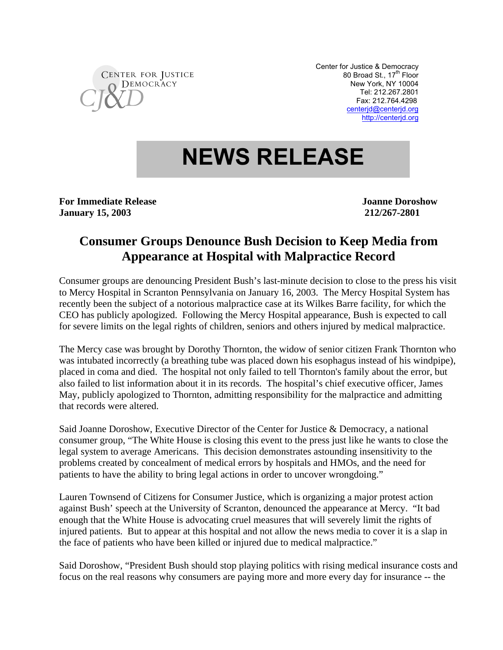

Center for Justice & Democracy 80 Broad St., 17<sup>th</sup> Floor New York, NY 10004 Tel: 212.267.2801 Fax: 212.764.4298 centerjd@centerjd.org http://centerjd.org

## **NEWS RELEASE**

**For Immediate Release Security Security Security Security Security Security Security Security Security Security Security Security Security Security Security Security Security Security Security Security Security Security S January 15, 2003 212/267-2801**

## **Consumer Groups Denounce Bush Decision to Keep Media from Appearance at Hospital with Malpractice Record**

Consumer groups are denouncing President Bush's last-minute decision to close to the press his visit to Mercy Hospital in Scranton Pennsylvania on January 16, 2003. The Mercy Hospital System has recently been the subject of a notorious malpractice case at its Wilkes Barre facility, for which the CEO has publicly apologized. Following the Mercy Hospital appearance, Bush is expected to call for severe limits on the legal rights of children, seniors and others injured by medical malpractice.

The Mercy case was brought by Dorothy Thornton, the widow of senior citizen Frank Thornton who was intubated incorrectly (a breathing tube was placed down his esophagus instead of his windpipe), placed in coma and died. The hospital not only failed to tell Thornton's family about the error, but also failed to list information about it in its records. The hospital's chief executive officer, James May, publicly apologized to Thornton, admitting responsibility for the malpractice and admitting that records were altered.

Said Joanne Doroshow, Executive Director of the Center for Justice & Democracy, a national consumer group, "The White House is closing this event to the press just like he wants to close the legal system to average Americans. This decision demonstrates astounding insensitivity to the problems created by concealment of medical errors by hospitals and HMOs, and the need for patients to have the ability to bring legal actions in order to uncover wrongdoing."

Lauren Townsend of Citizens for Consumer Justice, which is organizing a major protest action against Bush' speech at the University of Scranton, denounced the appearance at Mercy. "It bad enough that the White House is advocating cruel measures that will severely limit the rights of injured patients. But to appear at this hospital and not allow the news media to cover it is a slap in the face of patients who have been killed or injured due to medical malpractice."

Said Doroshow, "President Bush should stop playing politics with rising medical insurance costs and focus on the real reasons why consumers are paying more and more every day for insurance -- the